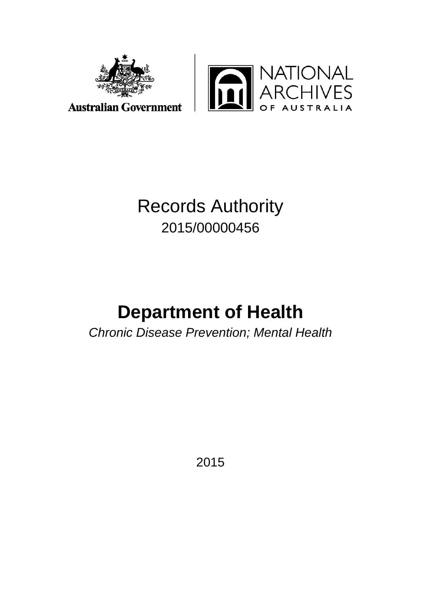



# Records Authority 2015/00000456

# **Department of Health**

*Chronic Disease Prevention; Mental Health*

2015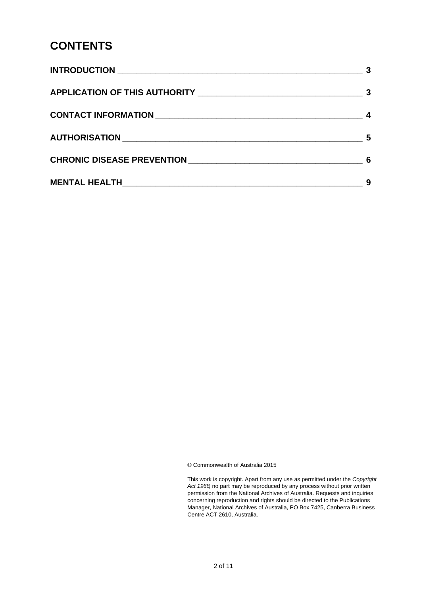# **CONTENTS**

|                                                         | -3 |
|---------------------------------------------------------|----|
|                                                         |    |
|                                                         | 5  |
| CHRONIC DISEASE PREVENTION NAMES AND RESERVED ASSESSED. | 6  |
|                                                         | 9  |

© Commonwealth of Australia 2015

This work is copyright. Apart from any use as permitted under the *Copyright Act 1968,* no part may be reproduced by any process without prior written permission from the National Archives of Australia. Requests and inquiries concerning reproduction and rights should be directed to the Publications Manager, National Archives of Australia, PO Box 7425, Canberra Business Centre ACT 2610, Australia.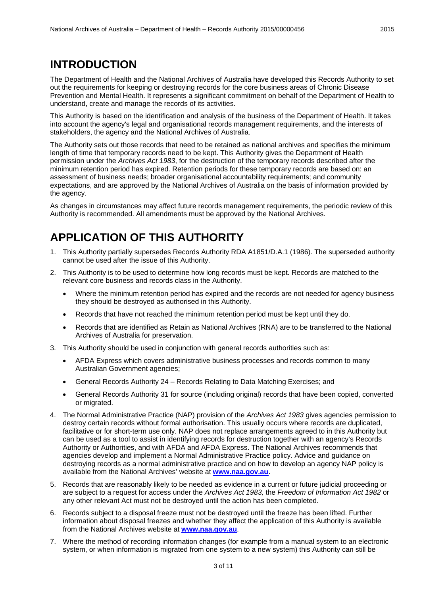### **INTRODUCTION**

The Department of Health and the National Archives of Australia have developed this Records Authority to set out the requirements for keeping or destroying records for the core business areas of Chronic Disease Prevention and Mental Health. It represents a significant commitment on behalf of the Department of Health to understand, create and manage the records of its activities.

This Authority is based on the identification and analysis of the business of the Department of Health. It takes into account the agency's legal and organisational records management requirements, and the interests of stakeholders, the agency and the National Archives of Australia.

The Authority sets out those records that need to be retained as national archives and specifies the minimum length of time that temporary records need to be kept. This Authority gives the Department of Health permission under the *Archives Act 1983*, for the destruction of the temporary records described after the minimum retention period has expired. Retention periods for these temporary records are based on: an assessment of business needs; broader organisational accountability requirements; and community expectations, and are approved by the National Archives of Australia on the basis of information provided by the agency.

As changes in circumstances may affect future records management requirements, the periodic review of this Authority is recommended. All amendments must be approved by the National Archives.

### **APPLICATION OF THIS AUTHORITY**

- 1. This Authority partially supersedes Records Authority RDA A1851/D.A.1 (1986). The superseded authority cannot be used after the issue of this Authority.
- 2. This Authority is to be used to determine how long records must be kept. Records are matched to the relevant core business and records class in the Authority.
	- Where the minimum retention period has expired and the records are not needed for agency business they should be destroyed as authorised in this Authority.
	- Records that have not reached the minimum retention period must be kept until they do.
	- Records that are identified as Retain as National Archives (RNA) are to be transferred to the National Archives of Australia for preservation.
- 3. This Authority should be used in conjunction with general records authorities such as:
	- AFDA Express which covers administrative business processes and records common to many Australian Government agencies;
	- General Records Authority 24 Records Relating to Data Matching Exercises; and
	- General Records Authority 31 for source (including original) records that have been copied, converted or migrated.
- 4. The Normal Administrative Practice (NAP) provision of the *Archives Act 1983* gives agencies permission to destroy certain records without formal authorisation. This usually occurs where records are duplicated, facilitative or for short-term use only. NAP does not replace arrangements agreed to in this Authority but can be used as a tool to assist in identifying records for destruction together with an agency's Records Authority or Authorities, and with AFDA and AFDA Express. The National Archives recommends that agencies develop and implement a Normal Administrative Practice policy. Advice and guidance on destroying records as a normal administrative practice and on how to develop an agency NAP policy is available from the National Archives' website at **[www.naa.gov.au](http://www.naa.gov.au/)**.
- 5. Records that are reasonably likely to be needed as evidence in a current or future judicial proceeding or are subject to a request for access under the *Archives Act 1983,* the *Freedom of Information Act 1982* or any other relevant Act must not be destroyed until the action has been completed.
- 6. Records subject to a disposal freeze must not be destroyed until the freeze has been lifted. Further information about disposal freezes and whether they affect the application of this Authority is available from the National Archives website at **[www.naa.gov.au](http://www.naa.gov.au/)**.
- 7. Where the method of recording information changes (for example from a manual system to an electronic system, or when information is migrated from one system to a new system) this Authority can still be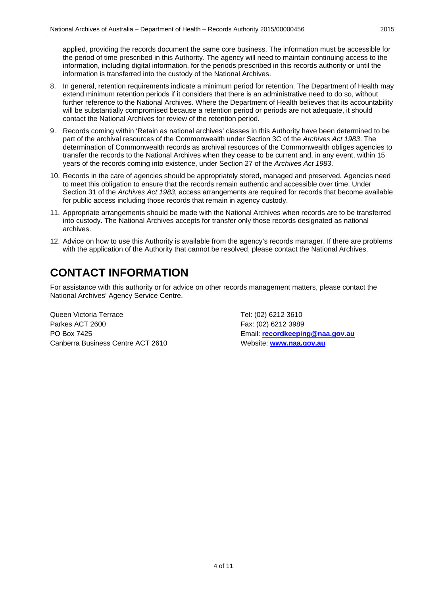applied, providing the records document the same core business. The information must be accessible for the period of time prescribed in this Authority. The agency will need to maintain continuing access to the information, including digital information, for the periods prescribed in this records authority or until the information is transferred into the custody of the National Archives.

- 8. In general, retention requirements indicate a minimum period for retention. The Department of Health may extend minimum retention periods if it considers that there is an administrative need to do so, without further reference to the National Archives. Where the Department of Health believes that its accountability will be substantially compromised because a retention period or periods are not adequate, it should contact the National Archives for review of the retention period.
- 9. Records coming within 'Retain as national archives' classes in this Authority have been determined to be part of the archival resources of the Commonwealth under Section 3C of the *Archives Act 1983*. The determination of Commonwealth records as archival resources of the Commonwealth obliges agencies to transfer the records to the National Archives when they cease to be current and, in any event, within 15 years of the records coming into existence, under Section 27 of the *Archives Act 1983*.
- 10. Records in the care of agencies should be appropriately stored, managed and preserved. Agencies need to meet this obligation to ensure that the records remain authentic and accessible over time. Under Section 31 of the *Archives Act 1983*, access arrangements are required for records that become available for public access including those records that remain in agency custody.
- 11. Appropriate arrangements should be made with the National Archives when records are to be transferred into custody. The National Archives accepts for transfer only those records designated as national archives.
- 12. Advice on how to use this Authority is available from the agency's records manager. If there are problems with the application of the Authority that cannot be resolved, please contact the National Archives.

# **CONTACT INFORMATION**

For assistance with this authority or for advice on other records management matters, please contact the National Archives' Agency Service Centre.

Queen Victoria Terrace Tel: (02) 6212 3610 Parkes ACT 2600 Fax: (02) 6212 3989 PO Box 7425 Email: **[recordkeeping@naa.gov.au](mailto:recordkeeping@naa.gov.au)** Canberra Business Centre ACT 2610 Website: **[www.naa.gov.au](http://www.naa.gov.au/)**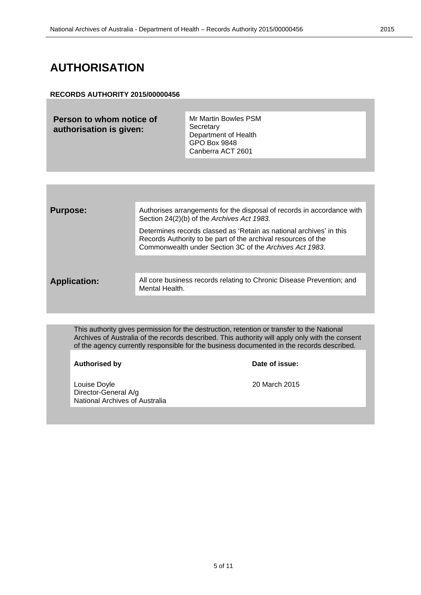## **AUTHORISATION**

#### **RECORDS AUTHORITY 2015/00000456**

**Person to whom notice of authorisation is given:**

Mr Martin Bowles PSM **Secretary** Department of Health GPO Box 9848 Canberra ACT 2601

| <b>Purpose:</b>     | Authorises arrangements for the disposal of records in accordance with<br>Section 24(2)(b) of the Archives Act 1983.                                                                            |
|---------------------|-------------------------------------------------------------------------------------------------------------------------------------------------------------------------------------------------|
|                     | Determines records classed as 'Retain as national archives' in this<br>Records Authority to be part of the archival resources of the<br>Commonwealth under Section 3C of the Archives Act 1983. |
|                     |                                                                                                                                                                                                 |
| <b>Application:</b> | All core business records relating to Chronic Disease Prevention; and<br>Mental Health.                                                                                                         |
|                     |                                                                                                                                                                                                 |

This authority gives permission for the destruction, retention or transfer to the National Archives of Australia of the records described. This authority will apply only with the consent of the agency currently responsible for the business documented in the records described.

#### **Authorised by**

Louise Doyle 20 March 2015 Director-General A/g National Archives of Australia

| Date of issue: |
|----------------|
|----------------|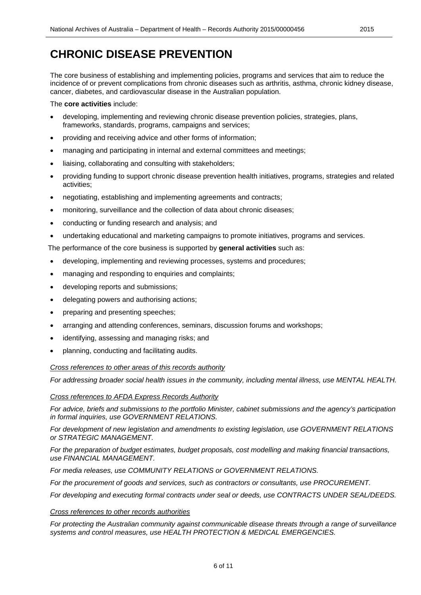# **CHRONIC DISEASE PREVENTION**

The core business of establishing and implementing policies, programs and services that aim to reduce the incidence of or prevent complications from chronic diseases such as arthritis, asthma, chronic kidney disease, cancer, diabetes, and cardiovascular disease in the Australian population.

The **core activities** include:

- developing, implementing and reviewing chronic disease prevention policies, strategies, plans, frameworks, standards, programs, campaigns and services;
- providing and receiving advice and other forms of information;
- managing and participating in internal and external committees and meetings;
- liaising, collaborating and consulting with stakeholders;
- providing funding to support chronic disease prevention health initiatives, programs, strategies and related activities;
- negotiating, establishing and implementing agreements and contracts;
- monitoring, surveillance and the collection of data about chronic diseases;
- conducting or funding research and analysis; and
- undertaking educational and marketing campaigns to promote initiatives, programs and services.

The performance of the core business is supported by **general activities** such as:

- developing, implementing and reviewing processes, systems and procedures;
- managing and responding to enquiries and complaints;
- developing reports and submissions;
- delegating powers and authorising actions;
- preparing and presenting speeches;
- arranging and attending conferences, seminars, discussion forums and workshops;
- identifying, assessing and managing risks; and
- planning, conducting and facilitating audits.

#### *Cross references to other areas of this records authority*

*For addressing broader social health issues in the community, including mental illness, use MENTAL HEALTH.*

#### *Cross references to AFDA Express Records Authority*

*For advice, briefs and submissions to the portfolio Minister, cabinet submissions and the agency's participation in formal inquiries, use GOVERNMENT RELATIONS.*

*For development of new legislation and amendments to existing legislation, use GOVERNMENT RELATIONS or STRATEGIC MANAGEMENT.*

*For the preparation of budget estimates, budget proposals, cost modelling and making financial transactions, use FINANCIAL MANAGEMENT.*

*For media releases, use COMMUNITY RELATIONS or GOVERNMENT RELATIONS.*

*For the procurement of goods and services, such as contractors or consultants, use PROCUREMENT.* 

*For developing and executing formal contracts under seal or deeds, use CONTRACTS UNDER SEAL/DEEDS.*

#### *Cross references to other records authorities*

*For protecting the Australian community against communicable disease threats through a range of surveillance systems and control measures, use HEALTH PROTECTION & MEDICAL EMERGENCIES.*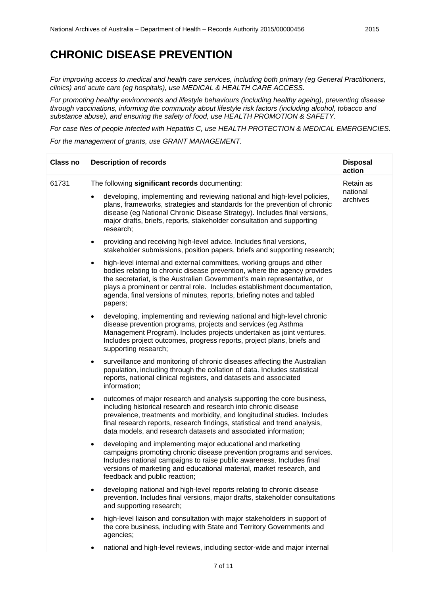### **CHRONIC DISEASE PREVENTION**

*For improving access to medical and health care services, including both primary (eg General Practitioners, clinics) and acute care (eg hospitals), use MEDICAL & HEALTH CARE ACCESS.*

*For promoting healthy environments and lifestyle behaviours (including healthy ageing), preventing disease through vaccinations, informing the community about lifestyle risk factors (including alcohol, tobacco and substance abuse), and ensuring the safety of food, use HEALTH PROMOTION & SAFETY.*

*For case files of people infected with Hepatitis C, use HEALTH PROTECTION & MEDICAL EMERGENCIES. For the management of grants, use GRANT MANAGEMENT.*

| Class no | <b>Description of records</b>                                                                                                                                                                                                                                                                                                                                                                             | <b>Disposal</b><br>action         |
|----------|-----------------------------------------------------------------------------------------------------------------------------------------------------------------------------------------------------------------------------------------------------------------------------------------------------------------------------------------------------------------------------------------------------------|-----------------------------------|
| 61731    | The following significant records documenting:                                                                                                                                                                                                                                                                                                                                                            | Retain as<br>national<br>archives |
|          | developing, implementing and reviewing national and high-level policies,<br>plans, frameworks, strategies and standards for the prevention of chronic<br>disease (eg National Chronic Disease Strategy). Includes final versions,<br>major drafts, briefs, reports, stakeholder consultation and supporting<br>research;                                                                                  |                                   |
|          | providing and receiving high-level advice. Includes final versions,<br>$\bullet$<br>stakeholder submissions, position papers, briefs and supporting research;                                                                                                                                                                                                                                             |                                   |
|          | high-level internal and external committees, working groups and other<br>$\bullet$<br>bodies relating to chronic disease prevention, where the agency provides<br>the secretariat, is the Australian Government's main representative, or<br>plays a prominent or central role. Includes establishment documentation,<br>agenda, final versions of minutes, reports, briefing notes and tabled<br>papers; |                                   |
|          | developing, implementing and reviewing national and high-level chronic<br>$\bullet$<br>disease prevention programs, projects and services (eg Asthma<br>Management Program). Includes projects undertaken as joint ventures.<br>Includes project outcomes, progress reports, project plans, briefs and<br>supporting research;                                                                            |                                   |
|          | surveillance and monitoring of chronic diseases affecting the Australian<br>$\bullet$<br>population, including through the collation of data. Includes statistical<br>reports, national clinical registers, and datasets and associated<br>information;                                                                                                                                                   |                                   |
|          | outcomes of major research and analysis supporting the core business,<br>$\bullet$<br>including historical research and research into chronic disease<br>prevalence, treatments and morbidity, and longitudinal studies. Includes<br>final research reports, research findings, statistical and trend analysis,<br>data models, and research datasets and associated information;                         |                                   |
|          | developing and implementing major educational and marketing<br>$\bullet$<br>campaigns promoting chronic disease prevention programs and services.<br>Includes national campaigns to raise public awareness. Includes final<br>versions of marketing and educational material, market research, and<br>feedback and public reaction;                                                                       |                                   |
|          | developing national and high-level reports relating to chronic disease<br>prevention. Includes final versions, major drafts, stakeholder consultations<br>and supporting research;                                                                                                                                                                                                                        |                                   |
|          | high-level liaison and consultation with major stakeholders in support of<br>the core business, including with State and Territory Governments and<br>agencies;                                                                                                                                                                                                                                           |                                   |
|          | national and high-level reviews, including sector-wide and major internal                                                                                                                                                                                                                                                                                                                                 |                                   |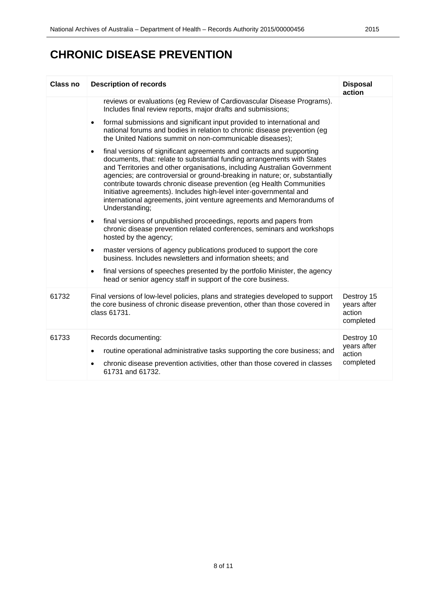# **CHRONIC DISEASE PREVENTION**

| <b>Class no</b> | <b>Description of records</b>                                                                                                                                                                                                                                                                                                                                                                                                                                                                                                                                     | <b>Disposal</b><br>action                        |
|-----------------|-------------------------------------------------------------------------------------------------------------------------------------------------------------------------------------------------------------------------------------------------------------------------------------------------------------------------------------------------------------------------------------------------------------------------------------------------------------------------------------------------------------------------------------------------------------------|--------------------------------------------------|
|                 | reviews or evaluations (eg Review of Cardiovascular Disease Programs).<br>Includes final review reports, major drafts and submissions;                                                                                                                                                                                                                                                                                                                                                                                                                            |                                                  |
|                 | formal submissions and significant input provided to international and<br>$\bullet$<br>national forums and bodies in relation to chronic disease prevention (eg<br>the United Nations summit on non-communicable diseases);                                                                                                                                                                                                                                                                                                                                       |                                                  |
|                 | final versions of significant agreements and contracts and supporting<br>$\bullet$<br>documents, that: relate to substantial funding arrangements with States<br>and Territories and other organisations, including Australian Government<br>agencies; are controversial or ground-breaking in nature; or, substantially<br>contribute towards chronic disease prevention (eg Health Communities<br>Initiative agreements). Includes high-level inter-governmental and<br>international agreements, joint venture agreements and Memorandums of<br>Understanding; |                                                  |
|                 | final versions of unpublished proceedings, reports and papers from<br>$\bullet$<br>chronic disease prevention related conferences, seminars and workshops<br>hosted by the agency;                                                                                                                                                                                                                                                                                                                                                                                |                                                  |
|                 | master versions of agency publications produced to support the core<br>$\bullet$<br>business. Includes newsletters and information sheets; and                                                                                                                                                                                                                                                                                                                                                                                                                    |                                                  |
|                 | final versions of speeches presented by the portfolio Minister, the agency<br>$\bullet$<br>head or senior agency staff in support of the core business.                                                                                                                                                                                                                                                                                                                                                                                                           |                                                  |
| 61732           | Final versions of low-level policies, plans and strategies developed to support<br>the core business of chronic disease prevention, other than those covered in<br>class 61731.                                                                                                                                                                                                                                                                                                                                                                                   | Destroy 15<br>years after<br>action<br>completed |
| 61733           | Records documenting:<br>routine operational administrative tasks supporting the core business; and<br>$\bullet$<br>chronic disease prevention activities, other than those covered in classes<br>61731 and 61732.                                                                                                                                                                                                                                                                                                                                                 | Destroy 10<br>years after<br>action<br>completed |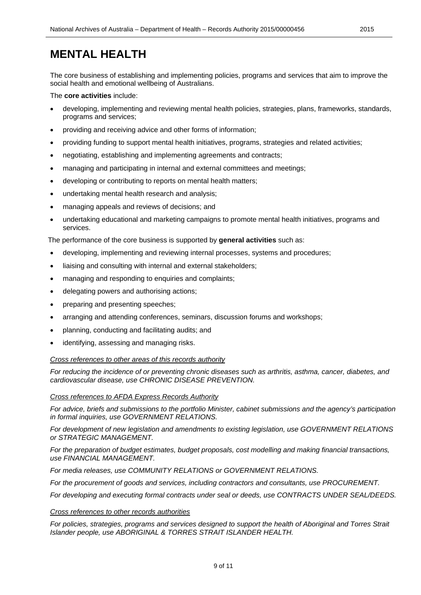### **MENTAL HEALTH**

The core business of establishing and implementing policies, programs and services that aim to improve the social health and emotional wellbeing of Australians.

The **core activities** include:

- developing, implementing and reviewing mental health policies, strategies, plans, frameworks, standards, programs and services;
- providing and receiving advice and other forms of information;
- providing funding to support mental health initiatives, programs, strategies and related activities;
- negotiating, establishing and implementing agreements and contracts;
- managing and participating in internal and external committees and meetings;
- developing or contributing to reports on mental health matters;
- undertaking mental health research and analysis;
- managing appeals and reviews of decisions; and
- undertaking educational and marketing campaigns to promote mental health initiatives, programs and services.

The performance of the core business is supported by **general activities** such as:

- developing, implementing and reviewing internal processes, systems and procedures;
- liaising and consulting with internal and external stakeholders;
- managing and responding to enquiries and complaints;
- delegating powers and authorising actions;
- preparing and presenting speeches;
- arranging and attending conferences, seminars, discussion forums and workshops;
- planning, conducting and facilitating audits; and
- identifying, assessing and managing risks.

#### *Cross references to other areas of this records authority*

*For reducing the incidence of or preventing chronic diseases such as arthritis, asthma, cancer, diabetes, and cardiovascular disease, use CHRONIC DISEASE PREVENTION.*

#### *Cross references to AFDA Express Records Authority*

*For advice, briefs and submissions to the portfolio Minister, cabinet submissions and the agency's participation in formal inquiries, use GOVERNMENT RELATIONS.*

*For development of new legislation and amendments to existing legislation, use GOVERNMENT RELATIONS or STRATEGIC MANAGEMENT.*

*For the preparation of budget estimates, budget proposals, cost modelling and making financial transactions, use FINANCIAL MANAGEMENT.*

*For media releases, use COMMUNITY RELATIONS or GOVERNMENT RELATIONS.*

*For the procurement of goods and services, including contractors and consultants, use PROCUREMENT.*

*For developing and executing formal contracts under seal or deeds, use CONTRACTS UNDER SEAL/DEEDS.*

#### *Cross references to other records authorities*

*For policies, strategies, programs and services designed to support the health of Aboriginal and Torres Strait Islander people, use ABORIGINAL & TORRES STRAIT ISLANDER HEALTH.*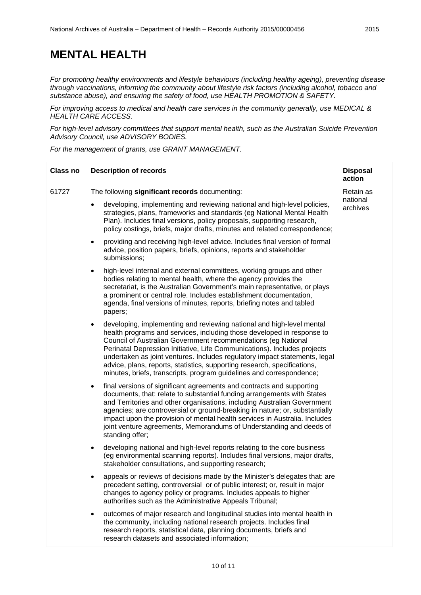### **MENTAL HEALTH**

*For promoting healthy environments and lifestyle behaviours (including healthy ageing), preventing disease through vaccinations, informing the community about lifestyle risk factors (including alcohol, tobacco and substance abuse), and ensuring the safety of food, use HEALTH PROMOTION & SAFETY.*

*For improving access to medical and health care services in the community generally, use MEDICAL & HEALTH CARE ACCESS.*

*For high-level advisory committees that support mental health, such as the Australian Suicide Prevention Advisory Council, use ADVISORY BODIES.*

*For the management of grants, use GRANT MANAGEMENT.*

| <b>Class no</b> | <b>Description of records</b>                                                                                                                                                                                                                                                                                                                                                                                                                                                                                                               | <b>Disposal</b><br>action         |
|-----------------|---------------------------------------------------------------------------------------------------------------------------------------------------------------------------------------------------------------------------------------------------------------------------------------------------------------------------------------------------------------------------------------------------------------------------------------------------------------------------------------------------------------------------------------------|-----------------------------------|
| 61727           | The following significant records documenting:<br>developing, implementing and reviewing national and high-level policies,<br>strategies, plans, frameworks and standards (eg National Mental Health<br>Plan). Includes final versions, policy proposals, supporting research,                                                                                                                                                                                                                                                              | Retain as<br>national<br>archives |
|                 | policy costings, briefs, major drafts, minutes and related correspondence;<br>providing and receiving high-level advice. Includes final version of formal<br>$\bullet$<br>advice, position papers, briefs, opinions, reports and stakeholder<br>submissions;                                                                                                                                                                                                                                                                                |                                   |
|                 | high-level internal and external committees, working groups and other<br>$\bullet$<br>bodies relating to mental health, where the agency provides the<br>secretariat, is the Australian Government's main representative, or plays<br>a prominent or central role. Includes establishment documentation,<br>agenda, final versions of minutes, reports, briefing notes and tabled<br>papers;                                                                                                                                                |                                   |
|                 | developing, implementing and reviewing national and high-level mental<br>$\bullet$<br>health programs and services, including those developed in response to<br>Council of Australian Government recommendations (eg National<br>Perinatal Depression Initiative, Life Communications). Includes projects<br>undertaken as joint ventures. Includes regulatory impact statements, legal<br>advice, plans, reports, statistics, supporting research, specifications,<br>minutes, briefs, transcripts, program guidelines and correspondence; |                                   |
|                 | final versions of significant agreements and contracts and supporting<br>$\bullet$<br>documents, that: relate to substantial funding arrangements with States<br>and Territories and other organisations, including Australian Government<br>agencies; are controversial or ground-breaking in nature; or, substantially<br>impact upon the provision of mental health services in Australia. Includes<br>joint venture agreements, Memorandums of Understanding and deeds of<br>standing offer;                                            |                                   |
|                 | developing national and high-level reports relating to the core business<br>$\bullet$<br>(eg environmental scanning reports). Includes final versions, major drafts,<br>stakeholder consultations, and supporting research;                                                                                                                                                                                                                                                                                                                 |                                   |
|                 | appeals or reviews of decisions made by the Minister's delegates that: are<br>$\bullet$<br>precedent setting, controversial or of public interest; or, result in major<br>changes to agency policy or programs. Includes appeals to higher<br>authorities such as the Administrative Appeals Tribunal;                                                                                                                                                                                                                                      |                                   |
|                 | outcomes of major research and longitudinal studies into mental health in<br>٠<br>the community, including national research projects. Includes final<br>research reports, statistical data, planning documents, briefs and<br>research datasets and associated information;                                                                                                                                                                                                                                                                |                                   |